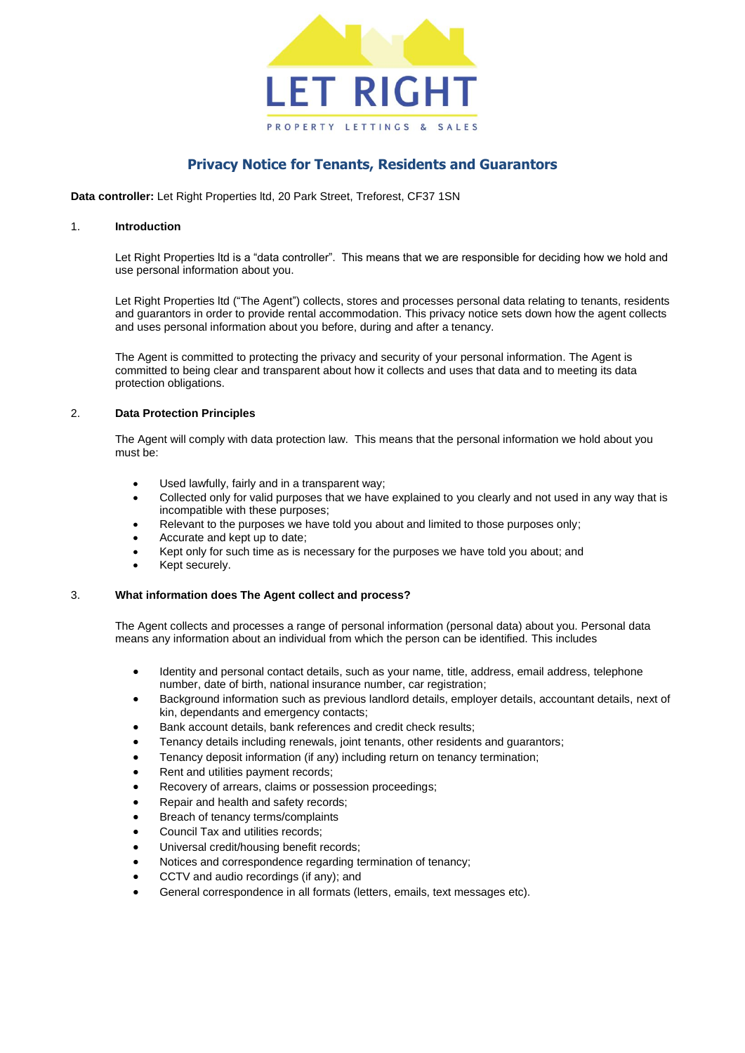

# **Privacy Notice for Tenants, Residents and Guarantors**

**Data controller:** Let Right Properties ltd, 20 Park Street, Treforest, CF37 1SN

#### 1. **Introduction**

Let Right Properties ltd is a "data controller". This means that we are responsible for deciding how we hold and use personal information about you.

Let Right Properties ltd ("The Agent") collects, stores and processes personal data relating to tenants, residents and guarantors in order to provide rental accommodation. This privacy notice sets down how the agent collects and uses personal information about you before, during and after a tenancy.

The Agent is committed to protecting the privacy and security of your personal information. The Agent is committed to being clear and transparent about how it collects and uses that data and to meeting its data protection obligations.

# 2. **Data Protection Principles**

The Agent will comply with data protection law. This means that the personal information we hold about you must be:

- Used lawfully, fairly and in a transparent way;
- Collected only for valid purposes that we have explained to you clearly and not used in any way that is incompatible with these purposes;
- Relevant to the purposes we have told you about and limited to those purposes only;
- Accurate and kept up to date;
- Kept only for such time as is necessary for the purposes we have told you about; and
- Kept securely.

# 3. **What information does The Agent collect and process?**

The Agent collects and processes a range of personal information (personal data) about you. Personal data means any information about an individual from which the person can be identified. This includes

- Identity and personal contact details, such as your name, title, address, email address, telephone number, date of birth, national insurance number, car registration;
- Background information such as previous landlord details, employer details, accountant details, next of kin, dependants and emergency contacts;
- Bank account details, bank references and credit check results;
- Tenancy details including renewals, joint tenants, other residents and guarantors;
- Tenancy deposit information (if any) including return on tenancy termination;
- Rent and utilities payment records;
- Recovery of arrears, claims or possession proceedings;
- Repair and health and safety records;
- Breach of tenancy terms/complaints
- Council Tax and utilities records;
- Universal credit/housing benefit records;
- Notices and correspondence regarding termination of tenancy;
- CCTV and audio recordings (if any); and
- General correspondence in all formats (letters, emails, text messages etc).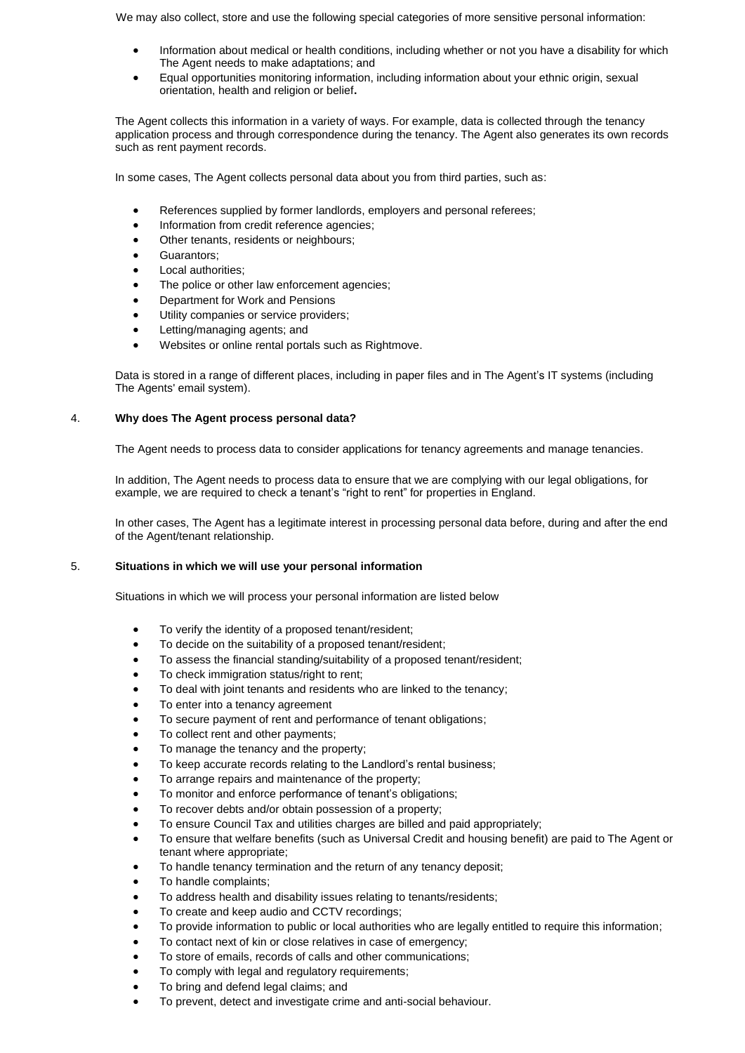We may also collect, store and use the following special categories of more sensitive personal information:

- Information about medical or health conditions, including whether or not you have a disability for which The Agent needs to make adaptations; and
- Equal opportunities monitoring information, including information about your ethnic origin, sexual orientation, health and religion or belief**.**

The Agent collects this information in a variety of ways. For example, data is collected through the tenancy application process and through correspondence during the tenancy. The Agent also generates its own records such as rent payment records.

In some cases, The Agent collects personal data about you from third parties, such as:

- References supplied by former landlords, employers and personal referees;
- Information from credit reference agencies;
- Other tenants, residents or neighbours;
- **•** Guarantors:
- Local authorities;
- The police or other law enforcement agencies;
- Department for Work and Pensions
- Utility companies or service providers;
- Letting/managing agents; and
- Websites or online rental portals such as Rightmove.

Data is stored in a range of different places, including in paper files and in The Agent's IT systems (including The Agents' email system).

# 4. **Why does The Agent process personal data?**

The Agent needs to process data to consider applications for tenancy agreements and manage tenancies.

In addition, The Agent needs to process data to ensure that we are complying with our legal obligations, for example, we are required to check a tenant's "right to rent" for properties in England.

In other cases, The Agent has a legitimate interest in processing personal data before, during and after the end of the Agent/tenant relationship.

# 5. **Situations in which we will use your personal information**

Situations in which we will process your personal information are listed below

- To verify the identity of a proposed tenant/resident;
- To decide on the suitability of a proposed tenant/resident;
- To assess the financial standing/suitability of a proposed tenant/resident;
- To check immigration status/right to rent;
- To deal with joint tenants and residents who are linked to the tenancy;
- To enter into a tenancy agreement
- To secure payment of rent and performance of tenant obligations;
- To collect rent and other payments;
- To manage the tenancy and the property;
- To keep accurate records relating to the Landlord's rental business;
- To arrange repairs and maintenance of the property;
- To monitor and enforce performance of tenant's obligations;
- To recover debts and/or obtain possession of a property;
- To ensure Council Tax and utilities charges are billed and paid appropriately;
- To ensure that welfare benefits (such as Universal Credit and housing benefit) are paid to The Agent or tenant where appropriate;
- To handle tenancy termination and the return of any tenancy deposit;
- To handle complaints;
- To address health and disability issues relating to tenants/residents;
- To create and keep audio and CCTV recordings;
- To provide information to public or local authorities who are legally entitled to require this information;
- To contact next of kin or close relatives in case of emergency;
- To store of emails, records of calls and other communications;
- To comply with legal and regulatory requirements;
- To bring and defend legal claims; and
- To prevent, detect and investigate crime and anti-social behaviour.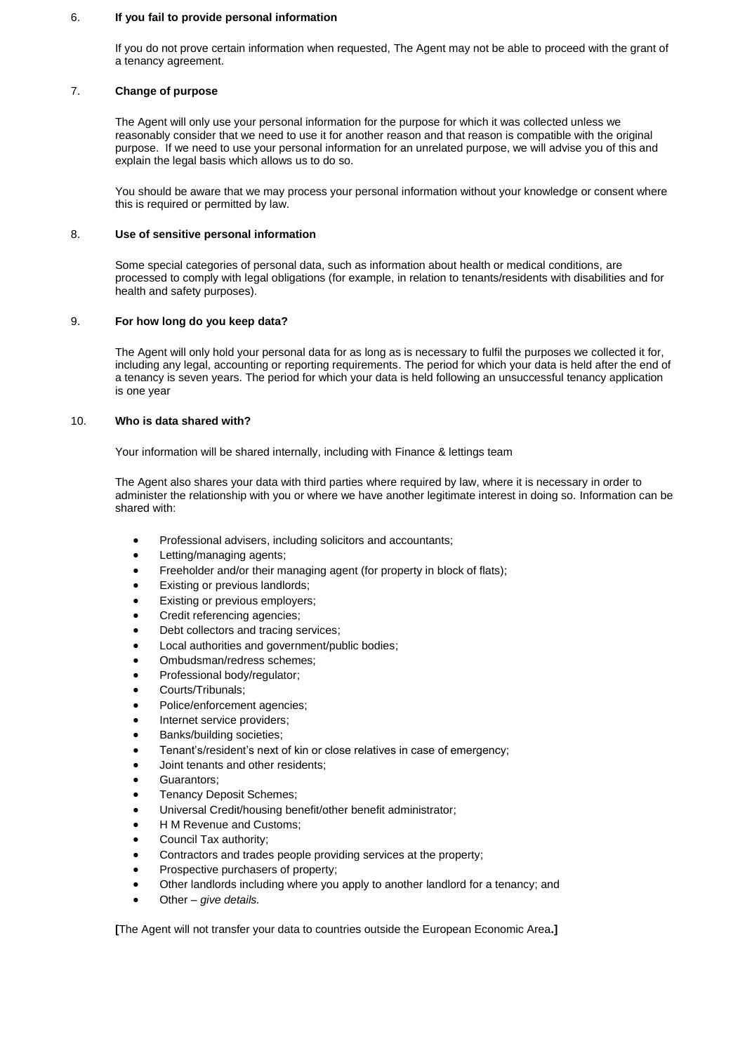#### 6. **If you fail to provide personal information**

If you do not prove certain information when requested, The Agent may not be able to proceed with the grant of a tenancy agreement.

# 7. **Change of purpose**

The Agent will only use your personal information for the purpose for which it was collected unless we reasonably consider that we need to use it for another reason and that reason is compatible with the original purpose. If we need to use your personal information for an unrelated purpose, we will advise you of this and explain the legal basis which allows us to do so.

You should be aware that we may process your personal information without your knowledge or consent where this is required or permitted by law.

## 8. **Use of sensitive personal information**

Some special categories of personal data, such as information about health or medical conditions, are processed to comply with legal obligations (for example, in relation to tenants/residents with disabilities and for health and safety purposes).

## 9. **For how long do you keep data?**

The Agent will only hold your personal data for as long as is necessary to fulfil the purposes we collected it for, including any legal, accounting or reporting requirements. The period for which your data is held after the end of a tenancy is seven years. The period for which your data is held following an unsuccessful tenancy application is one year

## 10. **Who is data shared with?**

Your information will be shared internally, including with Finance & lettings team

The Agent also shares your data with third parties where required by law, where it is necessary in order to administer the relationship with you or where we have another legitimate interest in doing so. Information can be shared with:

- Professional advisers, including solicitors and accountants;
- Letting/managing agents;
- Freeholder and/or their managing agent (for property in block of flats);
- Existing or previous landlords;
- Existing or previous employers;
- Credit referencing agencies;
- Debt collectors and tracing services;
- Local authorities and government/public bodies;
- Ombudsman/redress schemes;
- Professional body/regulator;
- Courts/Tribunals;
- Police/enforcement agencies;
- Internet service providers;
- Banks/building societies;
- Tenant's/resident's next of kin or close relatives in case of emergency;
- Joint tenants and other residents;
- Guarantors;
- Tenancy Deposit Schemes;
- Universal Credit/housing benefit/other benefit administrator;
- H M Revenue and Customs;
- Council Tax authority;
- Contractors and trades people providing services at the property;
- Prospective purchasers of property;
- Other landlords including where you apply to another landlord for a tenancy; and
- Other *give details.*

**[**The Agent will not transfer your data to countries outside the European Economic Area**.]**